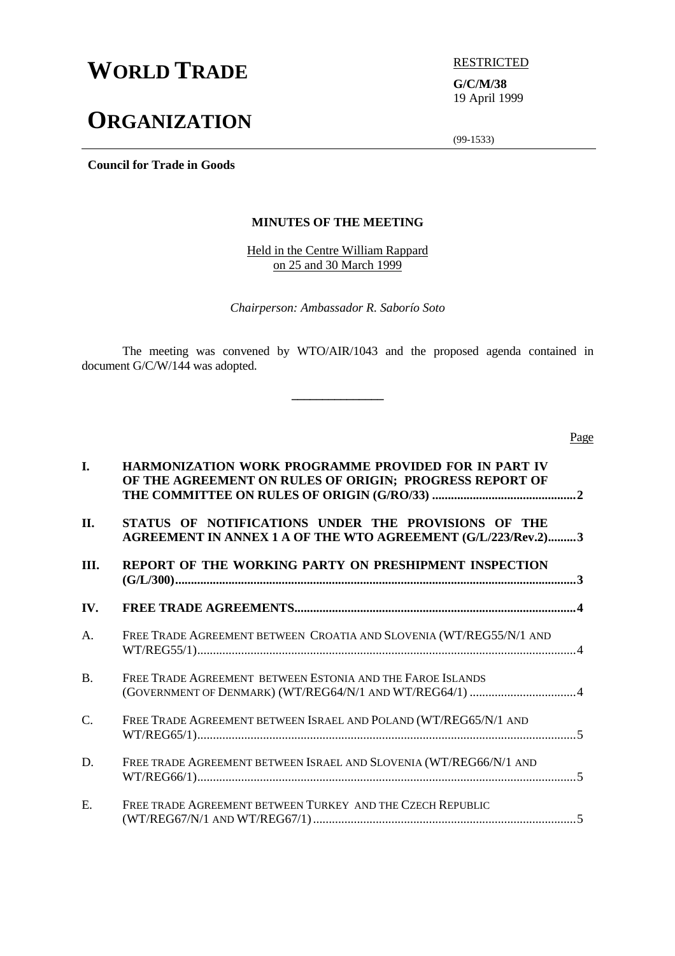# **WORLD TRADE EXPRESTRICTED**

# **ORGANIZATION**

**G/C/M/38** 19 April 1999

(99-1533)

**Council for Trade in Goods**

## **MINUTES OF THE MEETING**

Held in the Centre William Rappard on 25 and 30 March 1999

*Chairperson: Ambassador R. Saborío Soto*

The meeting was convened by WTO/AIR/1043 and the proposed agenda contained in document G/C/W/144 was adopted.

**\_\_\_\_\_\_\_\_\_\_\_\_\_\_\_**

Page

| I.              | <b>HARMONIZATION WORK PROGRAMME PROVIDED FOR IN PART IV</b><br>OF THE AGREEMENT ON RULES OF ORIGIN; PROGRESS REPORT OF |  |  |
|-----------------|------------------------------------------------------------------------------------------------------------------------|--|--|
| II.             | STATUS OF NOTIFICATIONS UNDER THE PROVISIONS OF THE<br>AGREEMENT IN ANNEX 1 A OF THE WTO AGREEMENT (G/L/223/Rev.2)3    |  |  |
| III.            | REPORT OF THE WORKING PARTY ON PRESHIPMENT INSPECTION                                                                  |  |  |
| IV.             |                                                                                                                        |  |  |
| A.              | FREE TRADE AGREEMENT BETWEEN CROATIA AND SLOVENIA (WT/REG55/N/1 AND                                                    |  |  |
| <b>B.</b>       | FREE TRADE AGREEMENT BETWEEN ESTONIA AND THE FAROE ISLANDS                                                             |  |  |
| $\mathcal{C}$ . | FREE TRADE AGREEMENT BETWEEN ISRAEL AND POLAND (WT/REG65/N/1 AND                                                       |  |  |
| D.              | FREE TRADE AGREEMENT BETWEEN ISRAEL AND SLOVENIA (WT/REG66/N/1 AND                                                     |  |  |
| E.              | FREE TRADE AGREEMENT BETWEEN TURKEY AND THE CZECH REPUBLIC                                                             |  |  |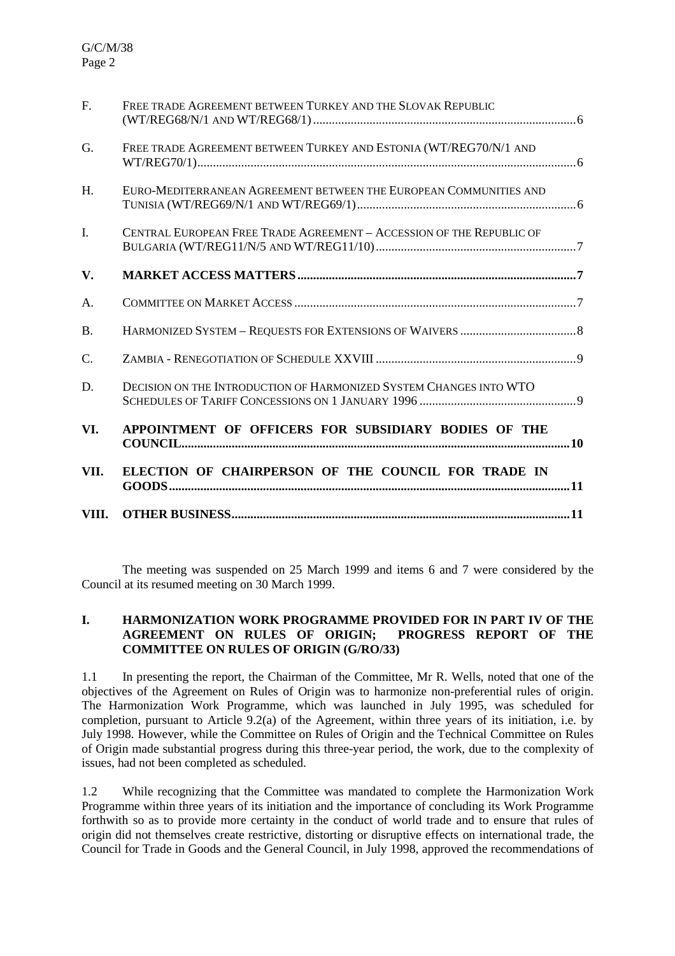| VIII.          |                                                                      |
|----------------|----------------------------------------------------------------------|
| VII.           | ELECTION OF CHAIRPERSON OF THE COUNCIL FOR TRADE IN                  |
| VI.            | APPOINTMENT OF OFFICERS FOR SUBSIDIARY BODIES OF THE                 |
| D.             | DECISION ON THE INTRODUCTION OF HARMONIZED SYSTEM CHANGES INTO WTO   |
| C.             |                                                                      |
| <b>B.</b>      |                                                                      |
| A.             |                                                                      |
| V.             |                                                                      |
| $\mathbf{I}$ . | CENTRAL EUROPEAN FREE TRADE AGREEMENT - ACCESSION OF THE REPUBLIC OF |
| H.             | EURO-MEDITERRANEAN AGREEMENT BETWEEN THE EUROPEAN COMMUNITIES AND    |
| G.             | FREE TRADE AGREEMENT BETWEEN TURKEY AND ESTONIA (WT/REG70/N/1 AND    |
| F <sub>1</sub> | FREE TRADE AGREEMENT BETWEEN TURKEY AND THE SLOVAK REPUBLIC          |

The meeting was suspended on 25 March 1999 and items 6 and 7 were considered by the Council at its resumed meeting on 30 March 1999.

#### **I. HARMONIZATION WORK PROGRAMME PROVIDED FOR IN PART IV OF THE AGREEMENT ON RULES OF ORIGIN; PROGRESS REPORT OF THE COMMITTEE ON RULES OF ORIGIN (G/RO/33)**

1.1 In presenting the report, the Chairman of the Committee, Mr R. Wells, noted that one of the objectives of the Agreement on Rules of Origin was to harmonize non-preferential rules of origin. The Harmonization Work Programme, which was launched in July 1995, was scheduled for completion, pursuant to Article 9.2(a) of the Agreement, within three years of its initiation, i.e. by July 1998. However, while the Committee on Rules of Origin and the Technical Committee on Rules of Origin made substantial progress during this three-year period, the work, due to the complexity of issues, had not been completed as scheduled.

1.2 While recognizing that the Committee was mandated to complete the Harmonization Work Programme within three years of its initiation and the importance of concluding its Work Programme forthwith so as to provide more certainty in the conduct of world trade and to ensure that rules of origin did not themselves create restrictive, distorting or disruptive effects on international trade, the Council for Trade in Goods and the General Council, in July 1998, approved the recommendations of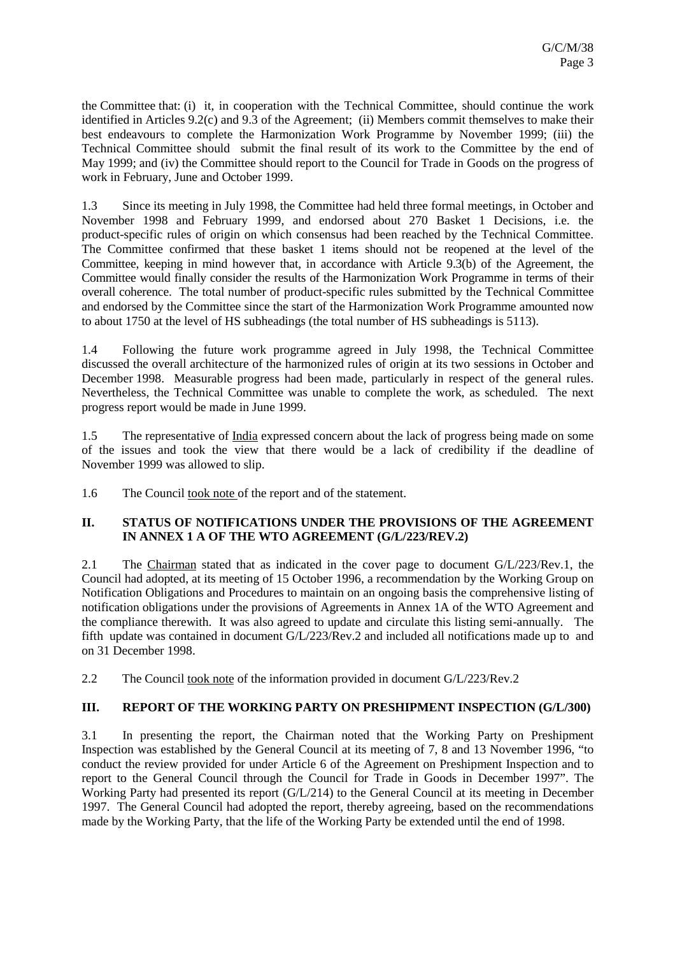the Committee that: (i) it, in cooperation with the Technical Committee, should continue the work identified in Articles 9.2(c) and 9.3 of the Agreement; (ii) Members commit themselves to make their best endeavours to complete the Harmonization Work Programme by November 1999; (iii) the Technical Committee should submit the final result of its work to the Committee by the end of May 1999; and (iv) the Committee should report to the Council for Trade in Goods on the progress of work in February, June and October 1999.

1.3 Since its meeting in July 1998, the Committee had held three formal meetings, in October and November 1998 and February 1999, and endorsed about 270 Basket 1 Decisions, i.e. the product-specific rules of origin on which consensus had been reached by the Technical Committee. The Committee confirmed that these basket 1 items should not be reopened at the level of the Committee, keeping in mind however that, in accordance with Article 9.3(b) of the Agreement, the Committee would finally consider the results of the Harmonization Work Programme in terms of their overall coherence. The total number of product-specific rules submitted by the Technical Committee and endorsed by the Committee since the start of the Harmonization Work Programme amounted now to about 1750 at the level of HS subheadings (the total number of HS subheadings is 5113).

1.4 Following the future work programme agreed in July 1998, the Technical Committee discussed the overall architecture of the harmonized rules of origin at its two sessions in October and December 1998. Measurable progress had been made, particularly in respect of the general rules. Nevertheless, the Technical Committee was unable to complete the work, as scheduled. The next progress report would be made in June 1999.

1.5 The representative of India expressed concern about the lack of progress being made on some of the issues and took the view that there would be a lack of credibility if the deadline of November 1999 was allowed to slip.

1.6 The Council took note of the report and of the statement.

### **II. STATUS OF NOTIFICATIONS UNDER THE PROVISIONS OF THE AGREEMENT IN ANNEX 1 A OF THE WTO AGREEMENT (G/L/223/REV.2)**

2.1 The Chairman stated that as indicated in the cover page to document G/L/223/Rev.1, the Council had adopted, at its meeting of 15 October 1996, a recommendation by the Working Group on Notification Obligations and Procedures to maintain on an ongoing basis the comprehensive listing of notification obligations under the provisions of Agreements in Annex 1A of the WTO Agreement and the compliance therewith. It was also agreed to update and circulate this listing semi-annually. The fifth update was contained in document G/L/223/Rev.2 and included all notifications made up to and on 31 December 1998.

2.2 The Council took note of the information provided in document G/L/223/Rev.2

# **III. REPORT OF THE WORKING PARTY ON PRESHIPMENT INSPECTION (G/L/300)**

3.1 In presenting the report, the Chairman noted that the Working Party on Preshipment Inspection was established by the General Council at its meeting of 7, 8 and 13 November 1996, "to conduct the review provided for under Article 6 of the Agreement on Preshipment Inspection and to report to the General Council through the Council for Trade in Goods in December 1997". The Working Party had presented its report (G/L/214) to the General Council at its meeting in December 1997. The General Council had adopted the report, thereby agreeing, based on the recommendations made by the Working Party, that the life of the Working Party be extended until the end of 1998.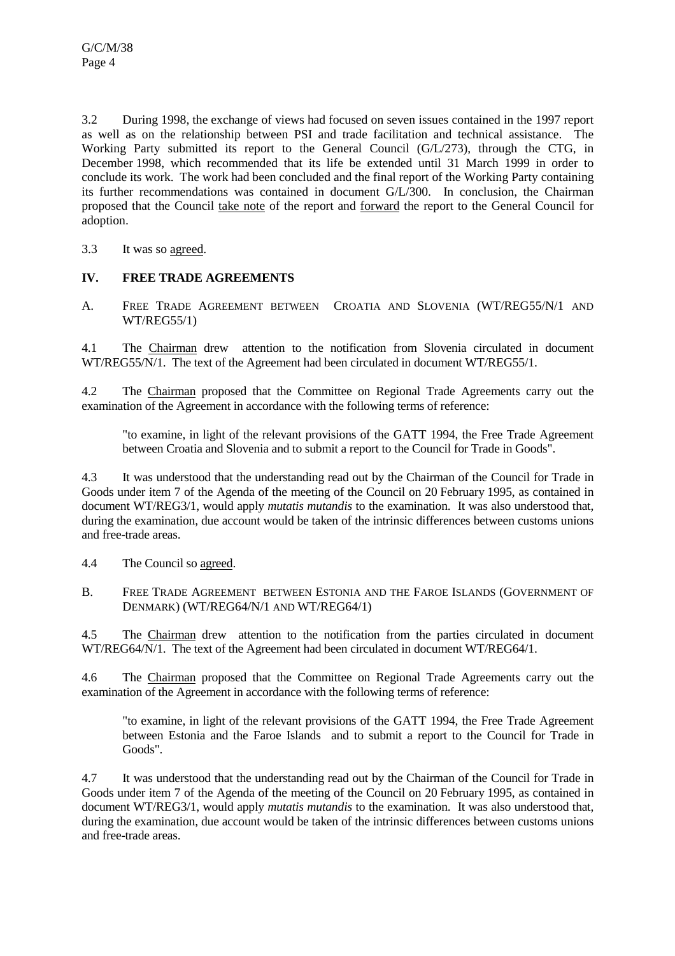3.2 During 1998, the exchange of views had focused on seven issues contained in the 1997 report as well as on the relationship between PSI and trade facilitation and technical assistance. The Working Party submitted its report to the General Council (G/L/273), through the CTG, in December 1998, which recommended that its life be extended until 31 March 1999 in order to conclude its work. The work had been concluded and the final report of the Working Party containing its further recommendations was contained in document G/L/300. In conclusion, the Chairman proposed that the Council take note of the report and forward the report to the General Council for adoption.

3.3 It was so agreed.

### **IV. FREE TRADE AGREEMENTS**

A. FREE TRADE AGREEMENT BETWEEN CROATIA AND SLOVENIA (WT/REG55/N/1 AND WT/REG55/1)

4.1 The Chairman drew attention to the notification from Slovenia circulated in document WT/REG55/N/1. The text of the Agreement had been circulated in document WT/REG55/1.

4.2 The Chairman proposed that the Committee on Regional Trade Agreements carry out the examination of the Agreement in accordance with the following terms of reference:

"to examine, in light of the relevant provisions of the GATT 1994, the Free Trade Agreement between Croatia and Slovenia and to submit a report to the Council for Trade in Goods".

4.3 It was understood that the understanding read out by the Chairman of the Council for Trade in Goods under item 7 of the Agenda of the meeting of the Council on 20 February 1995, as contained in document WT/REG3/1, would apply *mutatis mutandis* to the examination. It was also understood that, during the examination, due account would be taken of the intrinsic differences between customs unions and free-trade areas.

4.4 The Council so agreed.

B. FREE TRADE AGREEMENT BETWEEN ESTONIA AND THE FAROE ISLANDS (GOVERNMENT OF DENMARK) (WT/REG64/N/1 AND WT/REG64/1)

4.5 The Chairman drew attention to the notification from the parties circulated in document WT/REG64/N/1. The text of the Agreement had been circulated in document WT/REG64/1.

4.6 The Chairman proposed that the Committee on Regional Trade Agreements carry out the examination of the Agreement in accordance with the following terms of reference:

"to examine, in light of the relevant provisions of the GATT 1994, the Free Trade Agreement between Estonia and the Faroe Islands and to submit a report to the Council for Trade in Goods".

4.7 It was understood that the understanding read out by the Chairman of the Council for Trade in Goods under item 7 of the Agenda of the meeting of the Council on 20 February 1995, as contained in document WT/REG3/1, would apply *mutatis mutandis* to the examination. It was also understood that, during the examination, due account would be taken of the intrinsic differences between customs unions and free-trade areas.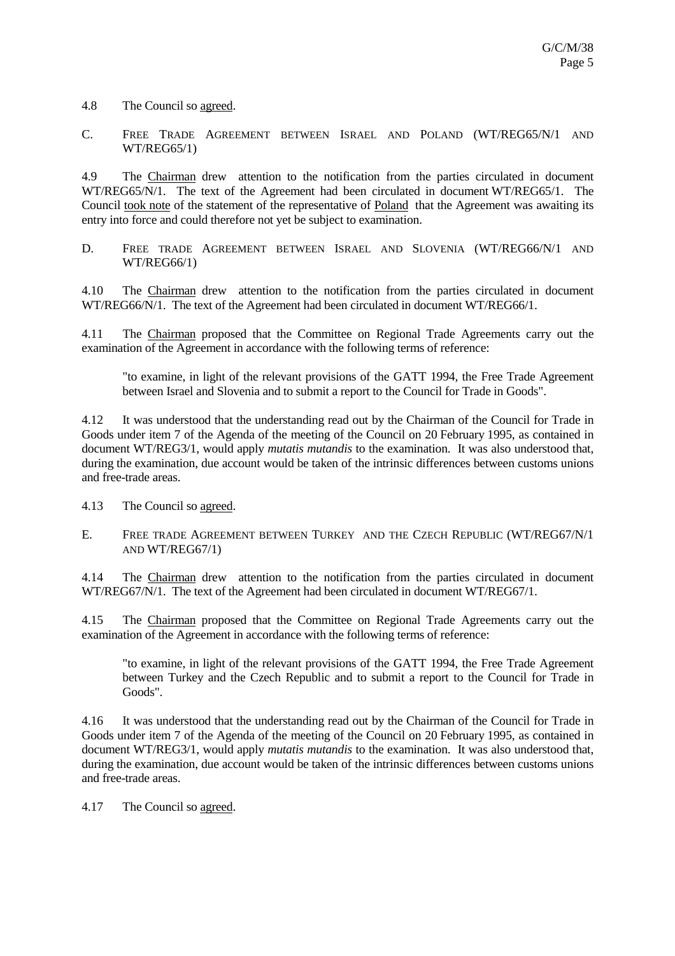4.8 The Council so agreed.

C. FREE TRADE AGREEMENT BETWEEN ISRAEL AND POLAND (WT/REG65/N/1 AND WT/REG65/1)

4.9 The Chairman drew attention to the notification from the parties circulated in document WT/REG65/N/1. The text of the Agreement had been circulated in document WT/REG65/1. The Council took note of the statement of the representative of Poland that the Agreement was awaiting its entry into force and could therefore not yet be subject to examination.

D. FREE TRADE AGREEMENT BETWEEN ISRAEL AND SLOVENIA (WT/REG66/N/1 AND WT/REG66/1)

4.10 The Chairman drew attention to the notification from the parties circulated in document WT/REG66/N/1. The text of the Agreement had been circulated in document WT/REG66/1.

4.11 The Chairman proposed that the Committee on Regional Trade Agreements carry out the examination of the Agreement in accordance with the following terms of reference:

"to examine, in light of the relevant provisions of the GATT 1994, the Free Trade Agreement between Israel and Slovenia and to submit a report to the Council for Trade in Goods".

4.12 It was understood that the understanding read out by the Chairman of the Council for Trade in Goods under item 7 of the Agenda of the meeting of the Council on 20 February 1995, as contained in document WT/REG3/1, would apply *mutatis mutandis* to the examination. It was also understood that, during the examination, due account would be taken of the intrinsic differences between customs unions and free-trade areas.

4.13 The Council so agreed.

E. FREE TRADE AGREEMENT BETWEEN TURKEY AND THE CZECH REPUBLIC (WT/REG67/N/1 AND WT/REG67/1)

4.14 The Chairman drew attention to the notification from the parties circulated in document WT/REG67/N/1. The text of the Agreement had been circulated in document WT/REG67/1.

4.15 The Chairman proposed that the Committee on Regional Trade Agreements carry out the examination of the Agreement in accordance with the following terms of reference:

"to examine, in light of the relevant provisions of the GATT 1994, the Free Trade Agreement between Turkey and the Czech Republic and to submit a report to the Council for Trade in Goods".

4.16 It was understood that the understanding read out by the Chairman of the Council for Trade in Goods under item 7 of the Agenda of the meeting of the Council on 20 February 1995, as contained in document WT/REG3/1, would apply *mutatis mutandis* to the examination. It was also understood that, during the examination, due account would be taken of the intrinsic differences between customs unions and free-trade areas.

4.17 The Council so agreed.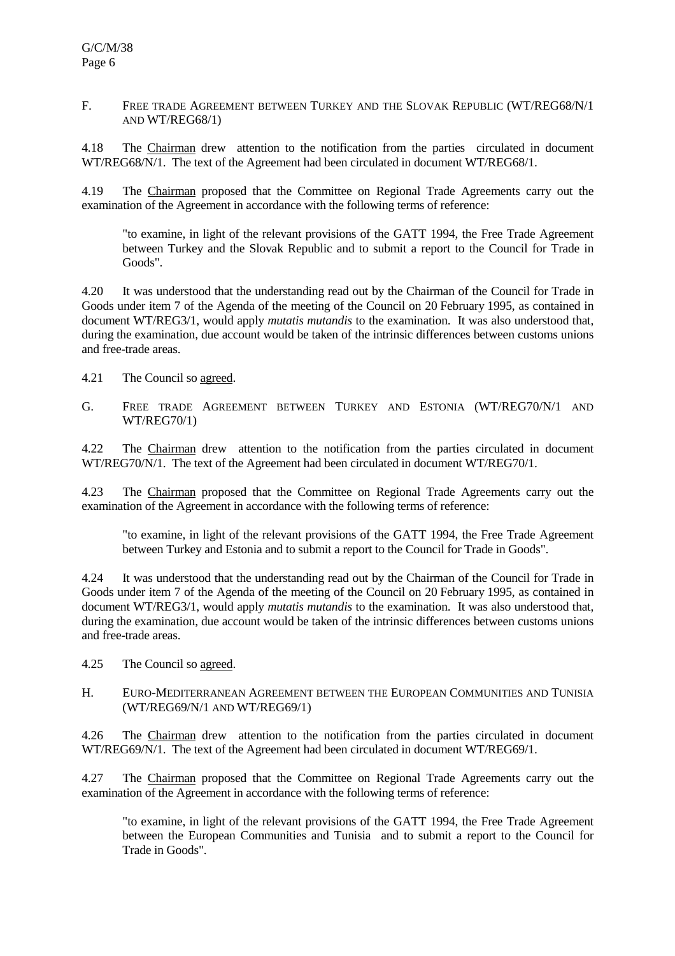#### F. FREE TRADE AGREEMENT BETWEEN TURKEY AND THE SLOVAK REPUBLIC (WT/REG68/N/1) AND WT/REG68/1)

4.18 The Chairman drew attention to the notification from the parties circulated in document WT/REG68/N/1. The text of the Agreement had been circulated in document WT/REG68/1.

4.19 The Chairman proposed that the Committee on Regional Trade Agreements carry out the examination of the Agreement in accordance with the following terms of reference:

"to examine, in light of the relevant provisions of the GATT 1994, the Free Trade Agreement between Turkey and the Slovak Republic and to submit a report to the Council for Trade in Goods".

4.20 It was understood that the understanding read out by the Chairman of the Council for Trade in Goods under item 7 of the Agenda of the meeting of the Council on 20 February 1995, as contained in document WT/REG3/1, would apply *mutatis mutandis* to the examination. It was also understood that, during the examination, due account would be taken of the intrinsic differences between customs unions and free-trade areas.

4.21 The Council so agreed.

G. FREE TRADE AGREEMENT BETWEEN TURKEY AND ESTONIA (WT/REG70/N/1 AND WT/REG70/1)

4.22 The Chairman drew attention to the notification from the parties circulated in document WT/REG70/N/1. The text of the Agreement had been circulated in document WT/REG70/1.

4.23 The Chairman proposed that the Committee on Regional Trade Agreements carry out the examination of the Agreement in accordance with the following terms of reference:

"to examine, in light of the relevant provisions of the GATT 1994, the Free Trade Agreement between Turkey and Estonia and to submit a report to the Council for Trade in Goods".

4.24 It was understood that the understanding read out by the Chairman of the Council for Trade in Goods under item 7 of the Agenda of the meeting of the Council on 20 February 1995, as contained in document WT/REG3/1, would apply *mutatis mutandis* to the examination. It was also understood that, during the examination, due account would be taken of the intrinsic differences between customs unions and free-trade areas.

4.25 The Council so agreed.

### H. EURO-MEDITERRANEAN AGREEMENT BETWEEN THE EUROPEAN COMMUNITIES AND TUNISIA (WT/REG69/N/1 AND WT/REG69/1)

4.26 The Chairman drew attention to the notification from the parties circulated in document WT/REG69/N/1. The text of the Agreement had been circulated in document WT/REG69/1.

4.27 The Chairman proposed that the Committee on Regional Trade Agreements carry out the examination of the Agreement in accordance with the following terms of reference:

"to examine, in light of the relevant provisions of the GATT 1994, the Free Trade Agreement between the European Communities and Tunisia and to submit a report to the Council for Trade in Goods".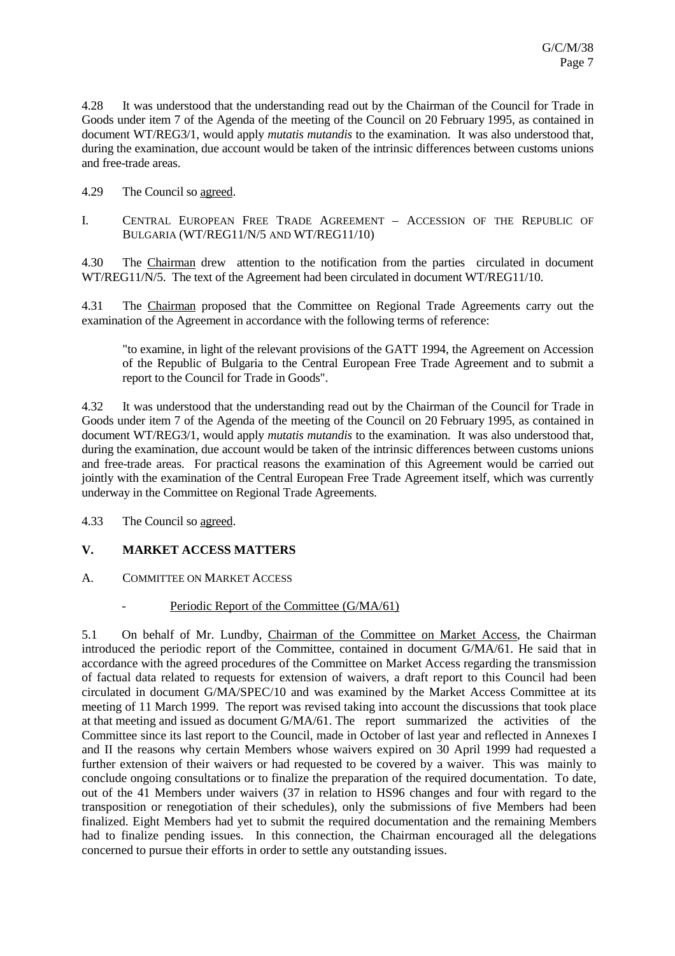4.28 It was understood that the understanding read out by the Chairman of the Council for Trade in Goods under item 7 of the Agenda of the meeting of the Council on 20 February 1995, as contained in document WT/REG3/1, would apply *mutatis mutandis* to the examination. It was also understood that, during the examination, due account would be taken of the intrinsic differences between customs unions and free-trade areas.

- 4.29 The Council so agreed.
- I. CENTRAL EUROPEAN FREE TRADE AGREEMENT ACCESSION OF THE REPUBLIC OF BULGARIA (WT/REG11/N/5 AND WT/REG11/10)

4.30 The Chairman drew attention to the notification from the parties circulated in document WT/REG11/N/5. The text of the Agreement had been circulated in document WT/REG11/10.

4.31 The Chairman proposed that the Committee on Regional Trade Agreements carry out the examination of the Agreement in accordance with the following terms of reference:

"to examine, in light of the relevant provisions of the GATT 1994, the Agreement on Accession of the Republic of Bulgaria to the Central European Free Trade Agreement and to submit a report to the Council for Trade in Goods".

4.32 It was understood that the understanding read out by the Chairman of the Council for Trade in Goods under item 7 of the Agenda of the meeting of the Council on 20 February 1995, as contained in document WT/REG3/1, would apply *mutatis mutandis* to the examination. It was also understood that, during the examination, due account would be taken of the intrinsic differences between customs unions and free-trade areas. For practical reasons the examination of this Agreement would be carried out jointly with the examination of the Central European Free Trade Agreement itself, which was currently underway in the Committee on Regional Trade Agreements.

4.33 The Council so agreed.

# **V. MARKET ACCESS MATTERS**

A. COMMITTEE ON MARKET ACCESS

#### Periodic Report of the Committee (G/MA/61)

5.1 On behalf of Mr. Lundby, Chairman of the Committee on Market Access, the Chairman introduced the periodic report of the Committee, contained in document G/MA/61. He said that in accordance with the agreed procedures of the Committee on Market Access regarding the transmission of factual data related to requests for extension of waivers, a draft report to this Council had been circulated in document G/MA/SPEC/10 and was examined by the Market Access Committee at its meeting of 11 March 1999. The report was revised taking into account the discussions that took place at that meeting and issued as document G/MA/61. The report summarized the activities of the Committee since its last report to the Council, made in October of last year and reflected in Annexes I and II the reasons why certain Members whose waivers expired on 30 April 1999 had requested a further extension of their waivers or had requested to be covered by a waiver. This was mainly to conclude ongoing consultations or to finalize the preparation of the required documentation. To date, out of the 41 Members under waivers (37 in relation to HS96 changes and four with regard to the transposition or renegotiation of their schedules), only the submissions of five Members had been finalized. Eight Members had yet to submit the required documentation and the remaining Members had to finalize pending issues. In this connection, the Chairman encouraged all the delegations concerned to pursue their efforts in order to settle any outstanding issues.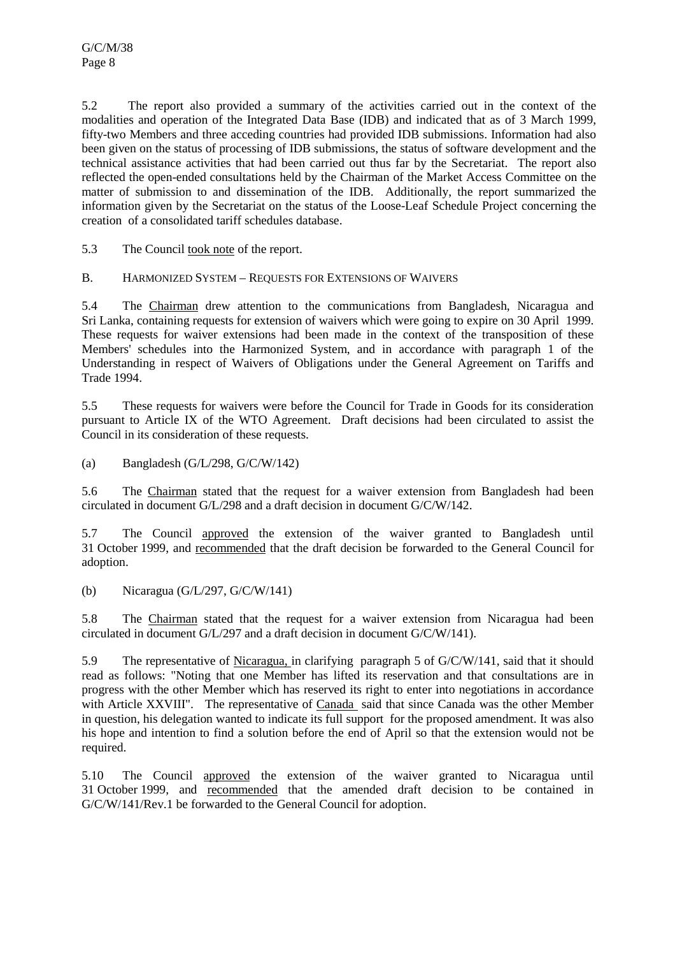5.2 The report also provided a summary of the activities carried out in the context of the modalities and operation of the Integrated Data Base (IDB) and indicated that as of 3 March 1999, fifty-two Members and three acceding countries had provided IDB submissions. Information had also been given on the status of processing of IDB submissions, the status of software development and the technical assistance activities that had been carried out thus far by the Secretariat. The report also reflected the open-ended consultations held by the Chairman of the Market Access Committee on the matter of submission to and dissemination of the IDB. Additionally, the report summarized the information given by the Secretariat on the status of the Loose-Leaf Schedule Project concerning the creation of a consolidated tariff schedules database.

5.3 The Council took note of the report.

B. HARMONIZED SYSTEM – REQUESTS FOR EXTENSIONS OF WAIVERS

5.4 The Chairman drew attention to the communications from Bangladesh, Nicaragua and Sri Lanka, containing requests for extension of waivers which were going to expire on 30 April 1999. These requests for waiver extensions had been made in the context of the transposition of these Members' schedules into the Harmonized System, and in accordance with paragraph 1 of the Understanding in respect of Waivers of Obligations under the General Agreement on Tariffs and Trade 1994.

5.5 These requests for waivers were before the Council for Trade in Goods for its consideration pursuant to Article IX of the WTO Agreement. Draft decisions had been circulated to assist the Council in its consideration of these requests.

(a) Bangladesh (G/L/298, G/C/W/142)

5.6 The Chairman stated that the request for a waiver extension from Bangladesh had been circulated in document G/L/298 and a draft decision in document G/C/W/142.

5.7 The Council approved the extension of the waiver granted to Bangladesh until 31 October 1999, and recommended that the draft decision be forwarded to the General Council for adoption.

(b) Nicaragua (G/L/297, G/C/W/141)

5.8 The Chairman stated that the request for a waiver extension from Nicaragua had been circulated in document G/L/297 and a draft decision in document G/C/W/141).

5.9 The representative of Nicaragua, in clarifying paragraph 5 of G/C/W/141, said that it should read as follows: "Noting that one Member has lifted its reservation and that consultations are in progress with the other Member which has reserved its right to enter into negotiations in accordance with Article XXVIII". The representative of Canada said that since Canada was the other Member in question, his delegation wanted to indicate its full support for the proposed amendment. It was also his hope and intention to find a solution before the end of April so that the extension would not be required.

5.10 The Council approved the extension of the waiver granted to Nicaragua until 31 October 1999, and recommended that the amended draft decision to be contained in G/C/W/141/Rev.1 be forwarded to the General Council for adoption.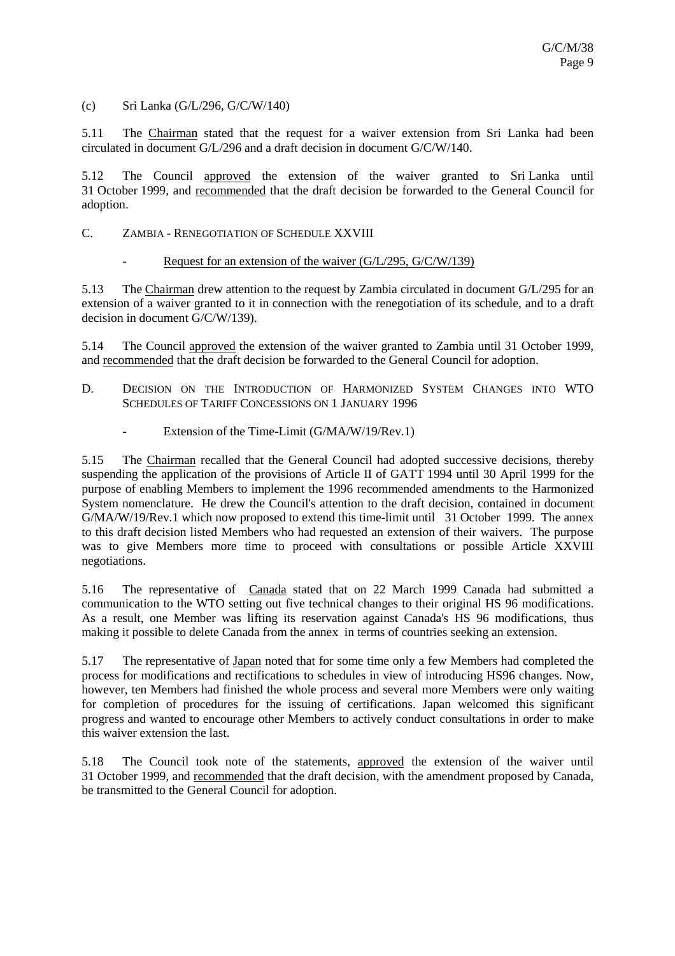(c) Sri Lanka (G/L/296, G/C/W/140)

5.11 The Chairman stated that the request for a waiver extension from Sri Lanka had been circulated in document G/L/296 and a draft decision in document G/C/W/140.

5.12 The Council approved the extension of the waiver granted to Sri Lanka until 31 October 1999, and recommended that the draft decision be forwarded to the General Council for adoption.

#### C. ZAMBIA - RENEGOTIATION OF SCHEDULE XXVIII

Request for an extension of the waiver  $(G/L/295, G/C/W/139)$ 

5.13 The Chairman drew attention to the request by Zambia circulated in document G/L/295 for an extension of a waiver granted to it in connection with the renegotiation of its schedule, and to a draft decision in document G/C/W/139).

5.14 The Council approved the extension of the waiver granted to Zambia until 31 October 1999, and recommended that the draft decision be forwarded to the General Council for adoption.

- D. DECISION ON THE INTRODUCTION OF HARMONIZED SYSTEM CHANGES INTO WTO SCHEDULES OF TARIFF CONCESSIONS ON 1 JANUARY 1996
	- Extension of the Time-Limit (G/MA/W/19/Rev.1)

5.15 The Chairman recalled that the General Council had adopted successive decisions, thereby suspending the application of the provisions of Article II of GATT 1994 until 30 April 1999 for the purpose of enabling Members to implement the 1996 recommended amendments to the Harmonized System nomenclature. He drew the Council's attention to the draft decision, contained in document G/MA/W/19/Rev.1 which now proposed to extend this time-limit until 31 October 1999. The annex to this draft decision listed Members who had requested an extension of their waivers. The purpose was to give Members more time to proceed with consultations or possible Article XXVIII negotiations.

5.16 The representative of Canada stated that on 22 March 1999 Canada had submitted a communication to the WTO setting out five technical changes to their original HS 96 modifications. As a result, one Member was lifting its reservation against Canada's HS 96 modifications, thus making it possible to delete Canada from the annex in terms of countries seeking an extension.

5.17 The representative of Japan noted that for some time only a few Members had completed the process for modifications and rectifications to schedules in view of introducing HS96 changes. Now, however, ten Members had finished the whole process and several more Members were only waiting for completion of procedures for the issuing of certifications. Japan welcomed this significant progress and wanted to encourage other Members to actively conduct consultations in order to make this waiver extension the last.

5.18 The Council took note of the statements, approved the extension of the waiver until 31 October 1999, and recommended that the draft decision, with the amendment proposed by Canada, be transmitted to the General Council for adoption.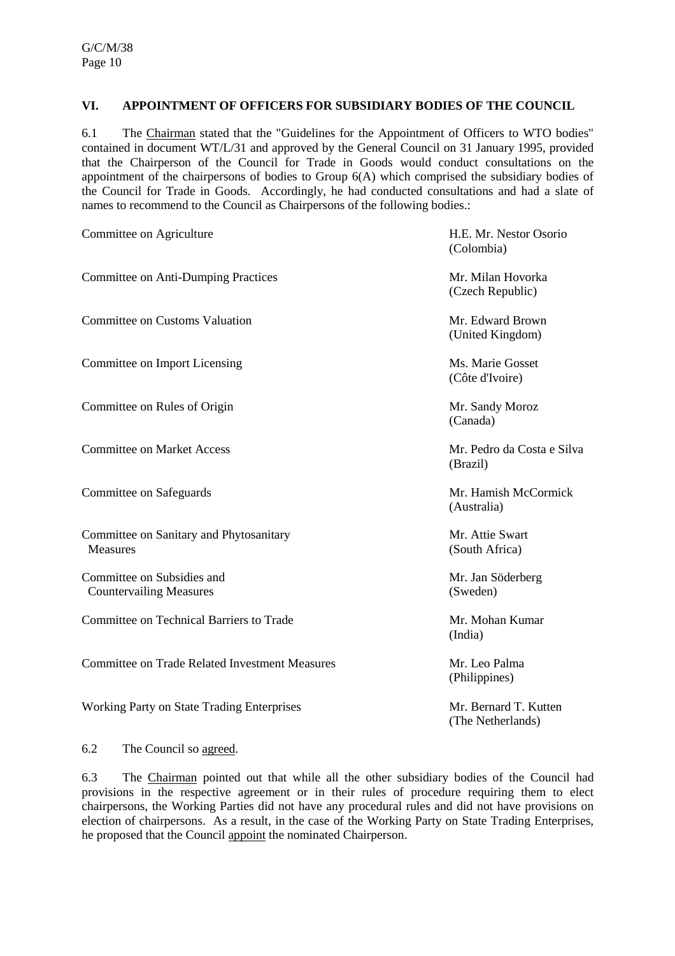## **VI. APPOINTMENT OF OFFICERS FOR SUBSIDIARY BODIES OF THE COUNCIL**

6.1 The Chairman stated that the "Guidelines for the Appointment of Officers to WTO bodies" contained in document WT/L/31 and approved by the General Council on 31 January 1995, provided that the Chairperson of the Council for Trade in Goods would conduct consultations on the appointment of the chairpersons of bodies to Group 6(A) which comprised the subsidiary bodies of the Council for Trade in Goods. Accordingly, he had conducted consultations and had a slate of names to recommend to the Council as Chairpersons of the following bodies.:

| Committee on Agriculture                                     | H.E. Mr. Nestor Osorio<br>(Colombia)       |  |
|--------------------------------------------------------------|--------------------------------------------|--|
| <b>Committee on Anti-Dumping Practices</b>                   | Mr. Milan Hovorka<br>(Czech Republic)      |  |
| <b>Committee on Customs Valuation</b>                        | Mr. Edward Brown<br>(United Kingdom)       |  |
| Committee on Import Licensing                                | Ms. Marie Gosset<br>(Côte d'Ivoire)        |  |
| Committee on Rules of Origin                                 | Mr. Sandy Moroz<br>(Canada)                |  |
| <b>Committee on Market Access</b>                            | Mr. Pedro da Costa e Silva<br>(Brazil)     |  |
| Committee on Safeguards                                      | Mr. Hamish McCormick<br>(Australia)        |  |
| Committee on Sanitary and Phytosanitary<br><b>Measures</b>   | Mr. Attie Swart<br>(South Africa)          |  |
| Committee on Subsidies and<br><b>Countervailing Measures</b> | Mr. Jan Söderberg<br>(Sweden)              |  |
| Committee on Technical Barriers to Trade                     | Mr. Mohan Kumar<br>(India)                 |  |
| <b>Committee on Trade Related Investment Measures</b>        | Mr. Leo Palma<br>(Philippines)             |  |
| Working Party on State Trading Enterprises                   | Mr. Bernard T. Kutten<br>(The Netherlands) |  |

#### 6.2 The Council so agreed.

6.3 The Chairman pointed out that while all the other subsidiary bodies of the Council had provisions in the respective agreement or in their rules of procedure requiring them to elect chairpersons, the Working Parties did not have any procedural rules and did not have provisions on election of chairpersons. As a result, in the case of the Working Party on State Trading Enterprises, he proposed that the Council appoint the nominated Chairperson.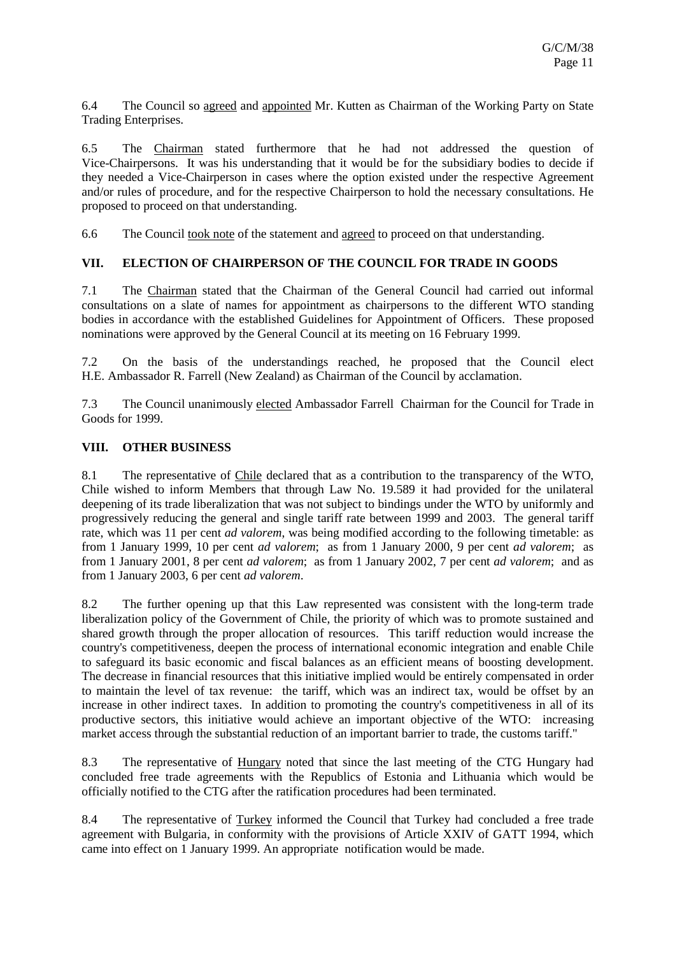6.4 The Council so agreed and appointed Mr. Kutten as Chairman of the Working Party on State Trading Enterprises.

6.5 The Chairman stated furthermore that he had not addressed the question of Vice-Chairpersons. It was his understanding that it would be for the subsidiary bodies to decide if they needed a Vice-Chairperson in cases where the option existed under the respective Agreement and/or rules of procedure, and for the respective Chairperson to hold the necessary consultations. He proposed to proceed on that understanding.

6.6 The Council took note of the statement and agreed to proceed on that understanding.

### **VII. ELECTION OF CHAIRPERSON OF THE COUNCIL FOR TRADE IN GOODS**

7.1 The Chairman stated that the Chairman of the General Council had carried out informal consultations on a slate of names for appointment as chairpersons to the different WTO standing bodies in accordance with the established Guidelines for Appointment of Officers. These proposed nominations were approved by the General Council at its meeting on 16 February 1999.

7.2 On the basis of the understandings reached, he proposed that the Council elect H.E. Ambassador R. Farrell (New Zealand) as Chairman of the Council by acclamation.

7.3 The Council unanimously elected Ambassador Farrell Chairman for the Council for Trade in Goods for 1999.

### **VIII. OTHER BUSINESS**

8.1 The representative of Chile declared that as a contribution to the transparency of the WTO, Chile wished to inform Members that through Law No. 19.589 it had provided for the unilateral deepening of its trade liberalization that was not subject to bindings under the WTO by uniformly and progressively reducing the general and single tariff rate between 1999 and 2003. The general tariff rate, which was 11 per cent *ad valorem*, was being modified according to the following timetable: as from 1 January 1999, 10 per cent *ad valorem*; as from 1 January 2000, 9 per cent *ad valorem*; as from 1 January 2001, 8 per cent *ad valorem*; as from 1 January 2002, 7 per cent *ad valorem*; and as from 1 January 2003, 6 per cent *ad valorem*.

8.2 The further opening up that this Law represented was consistent with the long-term trade liberalization policy of the Government of Chile, the priority of which was to promote sustained and shared growth through the proper allocation of resources. This tariff reduction would increase the country's competitiveness, deepen the process of international economic integration and enable Chile to safeguard its basic economic and fiscal balances as an efficient means of boosting development. The decrease in financial resources that this initiative implied would be entirely compensated in order to maintain the level of tax revenue: the tariff, which was an indirect tax, would be offset by an increase in other indirect taxes. In addition to promoting the country's competitiveness in all of its productive sectors, this initiative would achieve an important objective of the WTO: increasing market access through the substantial reduction of an important barrier to trade, the customs tariff."

8.3 The representative of Hungary noted that since the last meeting of the CTG Hungary had concluded free trade agreements with the Republics of Estonia and Lithuania which would be officially notified to the CTG after the ratification procedures had been terminated.

8.4 The representative of Turkey informed the Council that Turkey had concluded a free trade agreement with Bulgaria, in conformity with the provisions of Article XXIV of GATT 1994, which came into effect on 1 January 1999. An appropriate notification would be made.